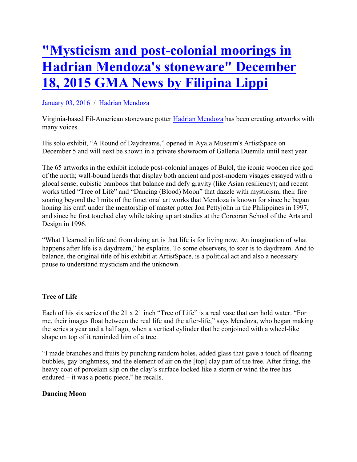# **"Mysticism and post-colonial moorings in Hadrian Mendoza's stoneware" December 18, 2015 GMA News by Filipina Lippi**

## January 03, 2016 / Hadrian Mendoza

Virginia-based Fil-American stoneware potter Hadrian Mendoza has been creating artworks with many voices.

His solo exhibit, "A Round of Daydreams," opened in Ayala Museum's ArtistSpace on December 5 and will next be shown in a private showroom of Galleria Duemila until next year.

The 65 artworks in the exhibit include post-colonial images of Bulol, the iconic wooden rice god of the north; wall-bound heads that display both ancient and post-modern visages essayed with a glocal sense; cubistic bamboos that balance and defy gravity (like Asian resiliency); and recent works titled "Tree of Life" and "Dancing (Blood) Moon" that dazzle with mysticism, their fire soaring beyond the limits of the functional art works that Mendoza is known for since he began honing his craft under the mentorship of master potter Jon Pettyjohn in the Philippines in 1997, and since he first touched clay while taking up art studies at the Corcoran School of the Arts and Design in 1996.

"What I learned in life and from doing art is that life is for living now. An imagination of what happens after life is a daydream," he explains. To some observers, to soar is to daydream. And to balance, the original title of his exhibit at ArtistSpace, is a political act and also a necessary pause to understand mysticism and the unknown.

## **Tree of Life**

Each of his six series of the 21 x 21 inch "Tree of Life" is a real vase that can hold water. "For me, their images float between the real life and the after-life," says Mendoza, who began making the series a year and a half ago, when a vertical cylinder that he conjoined with a wheel-like shape on top of it reminded him of a tree.

"I made branches and fruits by punching random holes, added glass that gave a touch of floating bubbles, gay brightness, and the element of air on the [top] clay part of the tree. After firing, the heavy coat of porcelain slip on the clay's surface looked like a storm or wind the tree has endured – it was a poetic piece," he recalls.

### **Dancing Moon**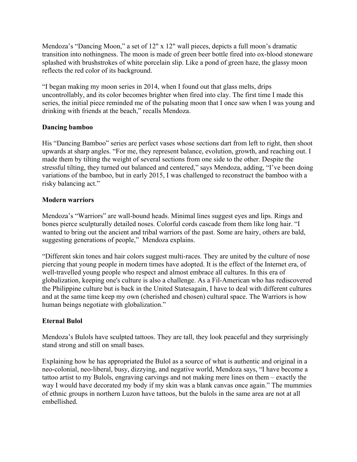Mendoza's "Dancing Moon," a set of 12" x 12" wall pieces, depicts a full moon's dramatic transition into nothingness. The moon is made of green beer bottle fired into ox-blood stoneware splashed with brushstrokes of white porcelain slip. Like a pond of green haze, the glassy moon reflects the red color of its background.

"I began making my moon series in 2014, when I found out that glass melts, drips uncontrollably, and its color becomes brighter when fired into clay. The first time I made this series, the initial piece reminded me of the pulsating moon that I once saw when I was young and drinking with friends at the beach," recalls Mendoza.

### **Dancing bamboo**

His "Dancing Bamboo" series are perfect vases whose sections dart from left to right, then shoot upwards at sharp angles. "For me, they represent balance, evolution, growth, and reaching out. I made them by tilting the weight of several sections from one side to the other. Despite the stressful tilting, they turned out balanced and centered," says Mendoza, adding, "I've been doing variations of the bamboo, but in early 2015, I was challenged to reconstruct the bamboo with a risky balancing act."

#### **Modern warriors**

Mendoza's "Warriors" are wall-bound heads. Minimal lines suggest eyes and lips. Rings and bones pierce sculpturally detailed noses. Colorful cords cascade from them like long hair. "I wanted to bring out the ancient and tribal warriors of the past. Some are hairy, others are bald, suggesting generations of people," Mendoza explains.

"Different skin tones and hair colors suggest multi-races. They are united by the culture of nose piercing that young people in modern times have adopted. It is the effect of the Internet era, of well-travelled young people who respect and almost embrace all cultures. In this era of globalization, keeping one's culture is also a challenge. As a Fil-American who has rediscovered the Philippine culture but is back in the United Statesagain, I have to deal with different cultures and at the same time keep my own (cherished and chosen) cultural space. The Warriors is how human beings negotiate with globalization."

### **Eternal Bulol**

Mendoza's Bulols have sculpted tattoos. They are tall, they look peaceful and they surprisingly stand strong and still on small bases.

Explaining how he has appropriated the Bulol as a source of what is authentic and original in a neo-colonial, neo-liberal, busy, dizzying, and negative world, Mendoza says, "I have become a tattoo artist to my Bulols, engraving carvings and not making mere lines on them – exactly the way I would have decorated my body if my skin was a blank canvas once again." The mummies of ethnic groups in northern Luzon have tattoos, but the bulols in the same area are not at all embellished.